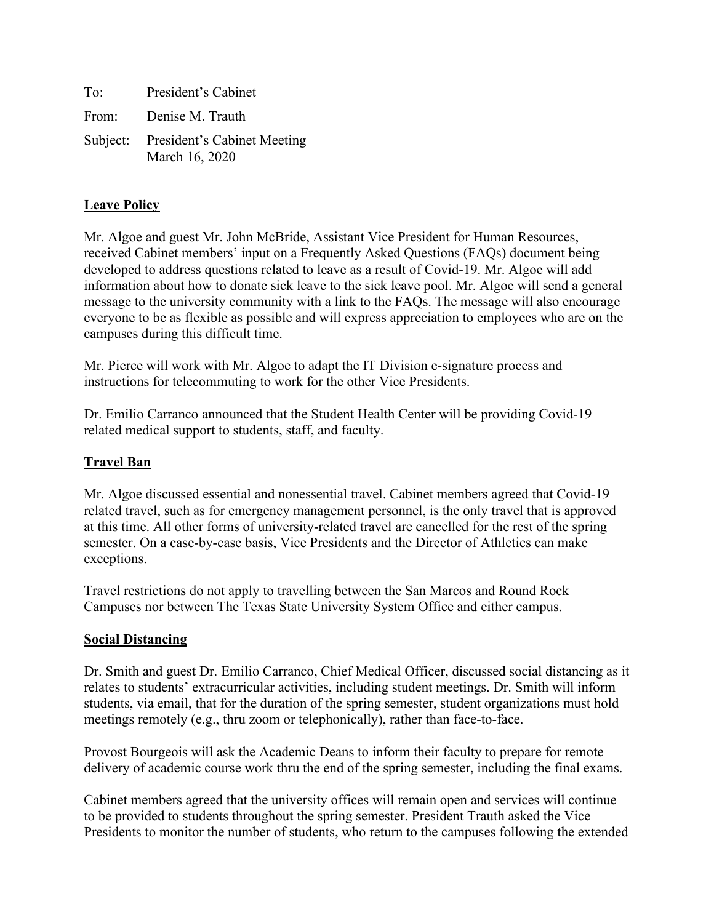| To: | President's Cabinet                                    |
|-----|--------------------------------------------------------|
|     | From: Denise M. Trauth                                 |
|     | Subject: President's Cabinet Meeting<br>March 16, 2020 |

# **Leave Policy**

Mr. Algoe and guest Mr. John McBride, Assistant Vice President for Human Resources, received Cabinet members' input on a Frequently Asked Questions (FAQs) document being developed to address questions related to leave as a result of Covid-19. Mr. Algoe will add information about how to donate sick leave to the sick leave pool. Mr. Algoe will send a general message to the university community with a link to the FAQs. The message will also encourage everyone to be as flexible as possible and will express appreciation to employees who are on the campuses during this difficult time.

Mr. Pierce will work with Mr. Algoe to adapt the IT Division e-signature process and instructions for telecommuting to work for the other Vice Presidents.

Dr. Emilio Carranco announced that the Student Health Center will be providing Covid-19 related medical support to students, staff, and faculty.

# **Travel Ban**

Mr. Algoe discussed essential and nonessential travel. Cabinet members agreed that Covid-19 related travel, such as for emergency management personnel, is the only travel that is approved at this time. All other forms of university-related travel are cancelled for the rest of the spring semester. On a case-by-case basis, Vice Presidents and the Director of Athletics can make exceptions.

Travel restrictions do not apply to travelling between the San Marcos and Round Rock Campuses nor between The Texas State University System Office and either campus.

# **Social Distancing**

Dr. Smith and guest Dr. Emilio Carranco, Chief Medical Officer, discussed social distancing as it relates to students' extracurricular activities, including student meetings. Dr. Smith will inform students, via email, that for the duration of the spring semester, student organizations must hold meetings remotely (e.g., thru zoom or telephonically), rather than face-to-face.

Provost Bourgeois will ask the Academic Deans to inform their faculty to prepare for remote delivery of academic course work thru the end of the spring semester, including the final exams.

Cabinet members agreed that the university offices will remain open and services will continue to be provided to students throughout the spring semester. President Trauth asked the Vice Presidents to monitor the number of students, who return to the campuses following the extended